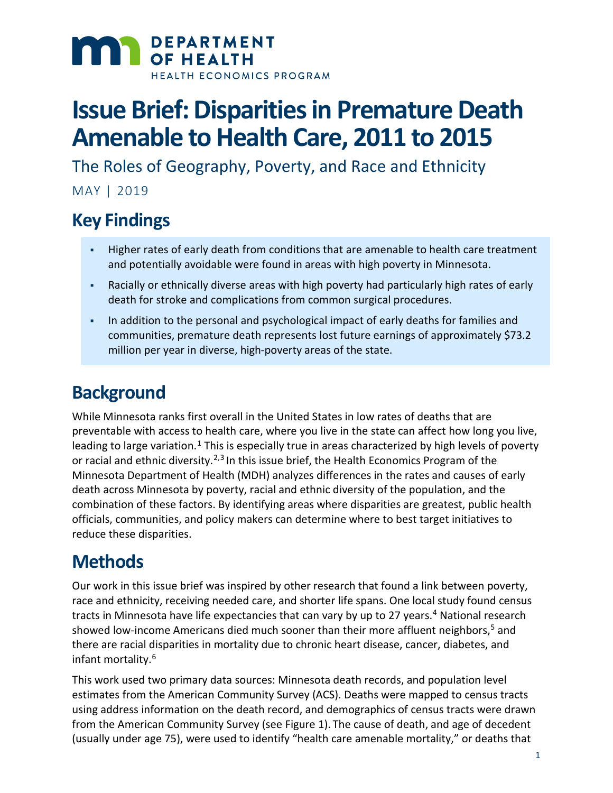

# **Issue Brief: Disparities in Premature Death Amenable to Health Care, 2011 to 2015**

The Roles of Geography, Poverty, and Race and Ethnicity

MAY | 2019

### **Key Findings**

- Higher rates of early death from conditions that are amenable to health care treatment and potentially avoidable were found in areas with high poverty in Minnesota.
- Racially or ethnically diverse areas with high poverty had particularly high rates of early death for stroke and complications from common surgical procedures.
- In addition to the personal and psychological impact of early deaths for families and communities, premature death represents lost future earnings of approximately \$73.2 million per year in diverse, high-poverty areas of the state.

### **Background**

While Minnesota ranks first overall in the United States in low rates of deaths that are preventable with access to health care, where you live in the state can affect how long you live, leading to large variation.<sup>[1](#page-8-0)</sup> This is especially true in areas characterized by high levels of poverty or racial and ethnic diversity.<sup>2,[3](#page-8-2)</sup> In this issue brief, the Health Economics Program of the Minnesota Department of Health (MDH) analyzes differences in the rates and causes of early death across Minnesota by poverty, racial and ethnic diversity of the population, and the combination of these factors. By identifying areas where disparities are greatest, public health officials, communities, and policy makers can determine where to best target initiatives to reduce these disparities.

### **Methods**

Our work in this issue brief was inspired by other research that found a link between poverty, race and ethnicity, receiving needed care, and shorter life spans. One local study found census tracts in Minnesota have life expectancies that can vary by up to 27 years[.4](#page-8-3) National research showed low-income Americans died much sooner than their more affluent neighbors, [5](#page-8-4) and there are racial disparities in mortality due to chronic heart disease, cancer, diabetes, and infant mortality.[6](#page-8-5)

This work used two primary data sources: Minnesota death records, and population level estimates from the American Community Survey (ACS). Deaths were mapped to census tracts using address information on the death record, and demographics of census tracts were drawn from the American Community Survey (see Figure 1). The cause of death, and age of decedent (usually under age 75), were used to identify "health care amenable mortality," or deaths that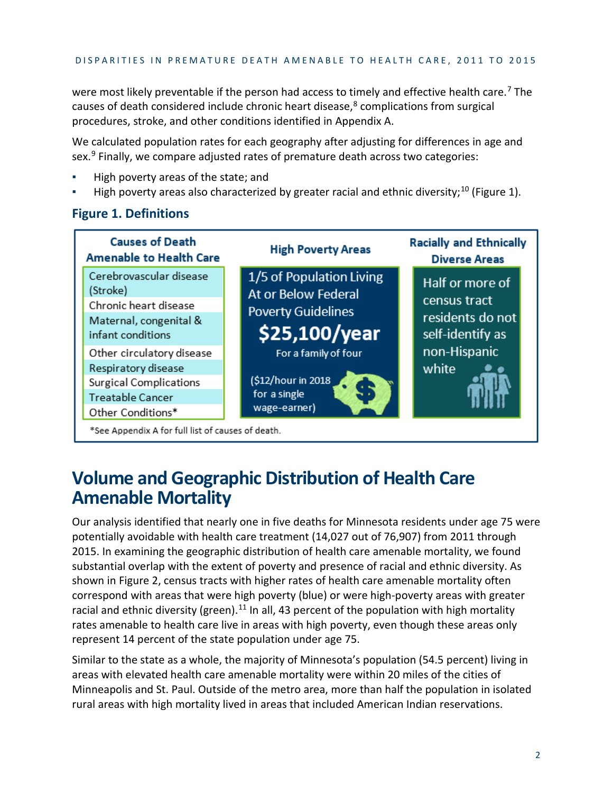were most likely preventable if the person had access to timely and effective health care.<sup>[7](#page-8-6)</sup> The causes of death considered include chronic heart disease, $8$  complications from surgical procedures, stroke, and other conditions identified in Appendix A.

We calculated population rates for each geography after adjusting for differences in age and sex. [9](#page-8-8) Finally, we compare adjusted rates of premature death across two categories:

- High poverty areas of the state; and
- **EXERGHT FIGHT FIGHT And FIGURY [10](#page-8-9) TH 10 TH 2016** Indeptiven 1, Landslergies 1, Landslergies 1, Landslergies 1, L

#### **Causes of Death Racially and Ethnically High Poverty Areas Amenable to Health Care Diverse Areas** Cerebrovascular disease 1/5 of Population Living Half or more of (Stroke) At or Below Federal census tract Chronic heart disease **Poverty Guidelines** residents do not Maternal, congenital & \$25,100/year self-identify as infant conditions non-Hispanic Other circulatory disease For a family of four Respiratory disease white (\$12/hour in 2018 Surgical Complications for a single Treatable Cancer wage-earner) Other Conditions\* \*See Appendix A for full list of causes of death.

#### **Figure 1. Definitions**

### **Volume and Geographic Distribution of Health Care Amenable Mortality**

Our analysis identified that nearly one in five deaths for Minnesota residents under age 75 were potentially avoidable with health care treatment (14,027 out of 76,907) from 2011 through 2015. In examining the geographic distribution of health care amenable mortality, we found substantial overlap with the extent of poverty and presence of racial and ethnic diversity. As shown in Figure 2, census tracts with higher rates of health care amenable mortality often correspond with areas that were high poverty (blue) or were high-poverty areas with greater racial and ethnic diversity (green).<sup>[11](#page-8-10)</sup> In all, 43 percent of the population with high mortality rates amenable to health care live in areas with high poverty, even though these areas only represent 14 percent of the state population under age 75.

Similar to the state as a whole, the majority of Minnesota's population (54.5 percent) living in areas with elevated health care amenable mortality were within 20 miles of the cities of Minneapolis and St. Paul. Outside of the metro area, more than half the population in isolated rural areas with high mortality lived in areas that included American Indian reservations.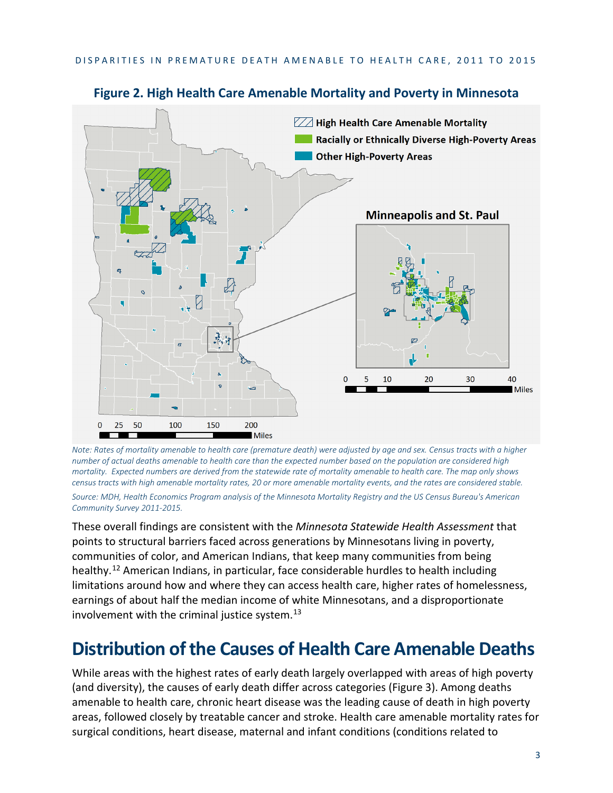

#### **Figure 2. High Health Care Amenable Mortality and Poverty in Minnesota**

*Note: Rates of mortality amenable to health care (premature death) were adjusted by age and sex. Census tracts with a higher number of actual deaths amenable to health care than the expected number based on the population are considered high mortality. Expected numbers are derived from the statewide rate of mortality amenable to health care. The map only shows census tracts with high amenable mortality rates, 20 or more amenable mortality events, and the rates are considered stable. Source: MDH, Health Economics Program analysis of the Minnesota Mortality Registry and the US Census Bureau's American Community Survey 2011-2015.* 

These overall findings are consistent with the *Minnesota Statewide Health Assessment* that points to structural barriers faced across generations by Minnesotans living in poverty, communities of color, and American Indians, that keep many communities from being healthy.<sup>[12](#page-8-11)</sup> American Indians, in particular, face considerable hurdles to health including limitations around how and where they can access health care, higher rates of homelessness, earnings of about half the median income of white Minnesotans, and a disproportionate involvement with the criminal justice system. $^{13}$  $^{13}$  $^{13}$ 

### **Distribution of the Causes of Health Care Amenable Deaths**

While areas with the highest rates of early death largely overlapped with areas of high poverty (and diversity), the causes of early death differ across categories (Figure 3). Among deaths amenable to health care, chronic heart disease was the leading cause of death in high poverty areas, followed closely by treatable cancer and stroke. Health care amenable mortality rates for surgical conditions, heart disease, maternal and infant conditions (conditions related to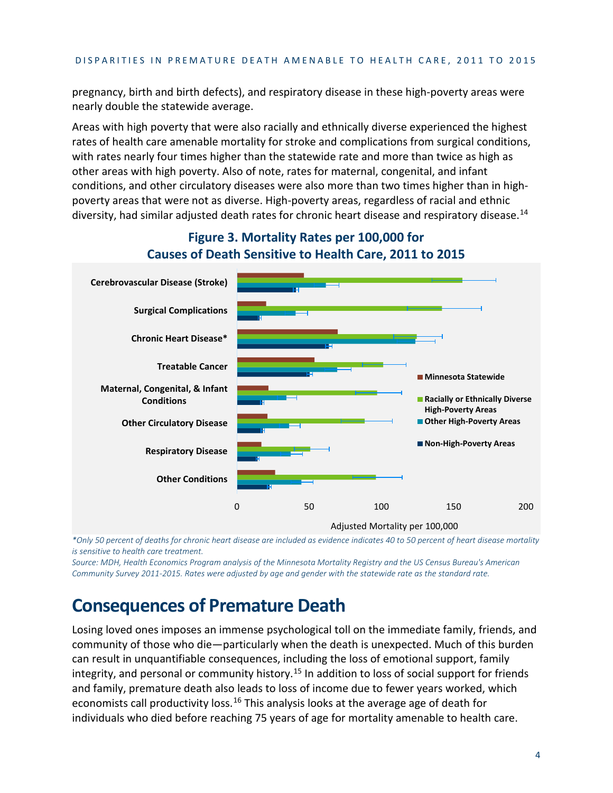#### DISPARITIES IN PREMATURE DEATH AMENABLE TO HEALTH CARE, 2011 TO 2015

pregnancy, birth and birth defects), and respiratory disease in these high-poverty areas were nearly double the statewide average.

Areas with high poverty that were also racially and ethnically diverse experienced the highest rates of health care amenable mortality for stroke and complications from surgical conditions, with rates nearly four times higher than the statewide rate and more than twice as high as other areas with high poverty. Also of note, rates for maternal, congenital, and infant conditions, and other circulatory diseases were also more than two times higher than in highpoverty areas that were not as diverse. High-poverty areas, regardless of racial and ethnic diversity, had similar adjusted death rates for chronic heart disease and respiratory disease.<sup>14</sup>



### **Figure 3. Mortality Rates per 100,000 for Causes of Death Sensitive to Health Care, 2011 to 2015**

 *\*Only 50 percent of deaths for chronic heart disease are included as evidence indicates 40 to 50 percent of heart disease mortality is sensitive to health care treatment.*

*Source: MDH, Health Economics Program analysis of the Minnesota Mortality Registry and the US Census Bureau's American Community Survey 2011-2015. Rates were adjusted by age and gender with the statewide rate as the standard rate.*

### **Consequences of Premature Death**

Losing loved ones imposes an immense psychological toll on the immediate family, friends, and community of those who die—particularly when the death is unexpected. Much of this burden can result in unquantifiable consequences, including the loss of emotional support, family integrity, and personal or community history.<sup>[15](#page-8-14)</sup> In addition to loss of social support for friends and family, premature death also leads to loss of income due to fewer years worked, which economists call productivity loss.<sup>[16](#page-8-15)</sup> This analysis looks at the average age of death for individuals who died before reaching 75 years of age for mortality amenable to health care.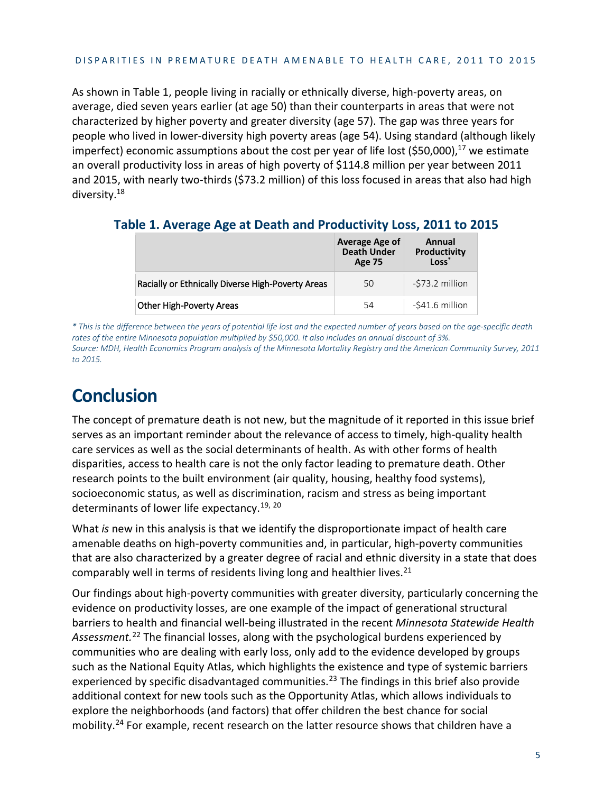As shown in Table 1, people living in racially or ethnically diverse, high-poverty areas, on average, died seven years earlier (at age 50) than their counterparts in areas that were not characterized by higher poverty and greater diversity (age 57). The gap was three years for people who lived in lower-diversity high poverty areas (age 54). Using standard (although likely imperfect) economic assumptions about the cost per year of life lost (\$50,000),<sup>17</sup> we estimate an overall productivity loss in areas of high poverty of \$114.8 million per year between 2011 and 2015, with nearly two-thirds (\$73.2 million) of this loss focused in areas that also had high diversity.18

**Table 1. Average Age at Death and Productivity Loss, 2011 to 2015**

|                                                   | Average Age of<br><b>Death Under</b><br><b>Age 75</b> | Annual<br>Productivity<br>Loss |
|---------------------------------------------------|-------------------------------------------------------|--------------------------------|
| Racially or Ethnically Diverse High-Poverty Areas | 50                                                    | -\$73.2 million                |
| <b>Other High-Poverty Areas</b>                   | 54                                                    | -\$41.6 million                |

*\* This is the difference between the years of potential life lost and the expected number of years based on the age-specific death rates of the entire Minnesota population multiplied by \$50,000. It also includes an annual discount of 3%. Source: MDH, Health Economics Program analysis of the Minnesota Mortality Registry and the American Community Survey, 2011 to 2015.* 

## **Conclusion**

The concept of premature death is not new, but the magnitude of it reported in this issue brief serves as an important reminder about the relevance of access to timely, high-quality health care services as well as the social determinants of health. As with other forms of health disparities, access to health care is not the only factor leading to premature death. Other research points to the built environment (air quality, housing, healthy food systems), socioeconomic status, as well as discrimination, racism and stress as being important determinants of lower life expectancy.<sup>[19](#page-8-16), [20](#page-8-17)</sup>

What *is* new in this analysis is that we identify the disproportionate impact of health care amenable deaths on high-poverty communities and, in particular, high-poverty communities that are also characterized by a greater degree of racial and ethnic diversity in a state that does comparably well in terms of residents living long and healthier lives.<sup>[21](#page-8-18)</sup>

Our findings about high-poverty communities with greater diversity, particularly concerning the evidence on productivity losses, are one example of the impact of generational structural barriers to health and financial well-being illustrated in the recent *Minnesota Statewide Health Assessment.*[22](#page-8-19) The financial losses, along with the psychological burdens experienced by communities who are dealing with early loss, only add to the evidence developed by groups such as the National Equity Atlas, which highlights the existence and type of systemic barriers experienced by specific disadvantaged communities.<sup>[23](#page-8-20)</sup> The findings in this brief also provide additional context for new tools such as the Opportunity Atlas, which allows individuals to explore the neighborhoods (and factors) that offer children the best chance for social mobility.<sup>24</sup> For example, recent research on the latter resource shows that children have a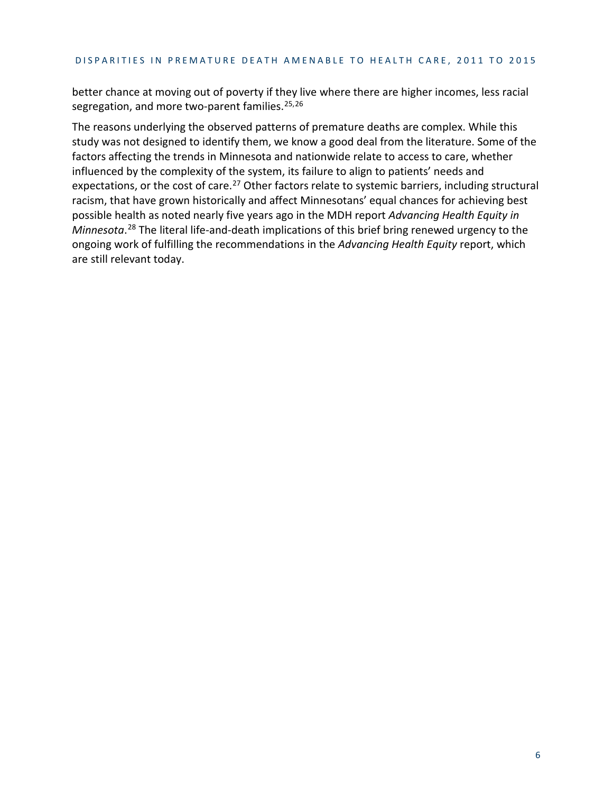better chance at moving out of poverty if they live where there are higher incomes, less racial segregation, and more two-parent families.<sup>[25](#page-8-22),[26](#page-8-23)</sup>

The reasons underlying the observed patterns of premature deaths are complex. While this study was not designed to identify them, we know a good deal from the literature. Some of the factors affecting the trends in Minnesota and nationwide relate to access to care, whether influenced by the complexity of the system, its failure to align to patients' needs and expectations, or the cost of care.<sup>[27](#page-8-24)</sup> Other factors relate to systemic barriers, including structural racism, that have grown historically and affect Minnesotans' equal chances for achieving best possible health as noted nearly five years ago in the MDH report *Advancing Health Equity in Minnesota*. [28](#page-8-25) The literal life-and-death implications of this brief bring renewed urgency to the ongoing work of fulfilling the recommendations in the *Advancing Health Equity* report, which are still relevant today.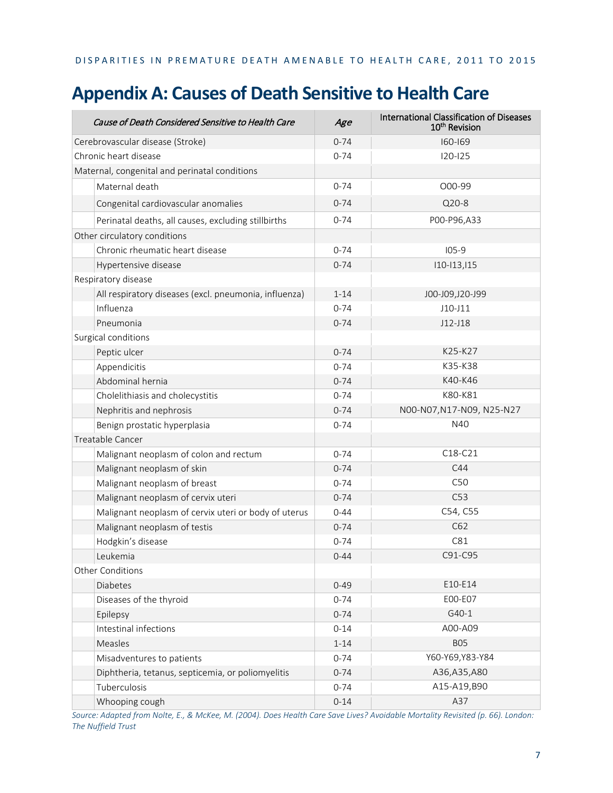#### DISPARITIES IN PREMATURE DEATH AMENABLE TO HEALTH CARE, 2011 TO 2015

### **Appendix A: Causes of Death Sensitive to Health Care**

|                              | Cause of Death Considered Sensitive to Health Care    | Age      | International Classification of Diseases<br>10 <sup>th</sup> Revision |
|------------------------------|-------------------------------------------------------|----------|-----------------------------------------------------------------------|
|                              | Cerebrovascular disease (Stroke)                      | $0 - 74$ | 160-169                                                               |
|                              | Chronic heart disease                                 | $0 - 74$ | $120 - 125$                                                           |
|                              | Maternal, congenital and perinatal conditions         |          |                                                                       |
|                              | Maternal death                                        | $0 - 74$ | O00-99                                                                |
|                              | Congenital cardiovascular anomalies                   | $0 - 74$ | Q20-8                                                                 |
|                              | Perinatal deaths, all causes, excluding stillbirths   | $0 - 74$ | P00-P96,A33                                                           |
| Other circulatory conditions |                                                       |          |                                                                       |
|                              | Chronic rheumatic heart disease                       | $0 - 74$ | $105-9$                                                               |
|                              | Hypertensive disease                                  | $0 - 74$ | $110 - 113, 115$                                                      |
| Respiratory disease          |                                                       |          |                                                                       |
|                              | All respiratory diseases (excl. pneumonia, influenza) | $1 - 14$ | J00-J09,J20-J99                                                       |
|                              | Influenza                                             | $0 - 74$ | $J10-J11$                                                             |
|                              | Pneumonia                                             | $0 - 74$ | $J12-J18$                                                             |
|                              | Surgical conditions                                   |          |                                                                       |
|                              | Peptic ulcer                                          | $0 - 74$ | K25-K27                                                               |
|                              | Appendicitis                                          | $0 - 74$ | K35-K38                                                               |
|                              | Abdominal hernia                                      | $0 - 74$ | K40-K46                                                               |
|                              | Cholelithiasis and cholecystitis                      | $0 - 74$ | K80-K81                                                               |
|                              | Nephritis and nephrosis                               | $0 - 74$ | N00-N07, N17-N09, N25-N27                                             |
|                              | Benign prostatic hyperplasia                          | $0 - 74$ | N40                                                                   |
|                              | Treatable Cancer                                      |          |                                                                       |
|                              | Malignant neoplasm of colon and rectum                | $0 - 74$ | C18-C21                                                               |
|                              | Malignant neoplasm of skin                            | $0 - 74$ | C44                                                                   |
|                              | Malignant neoplasm of breast                          | $0 - 74$ | C50                                                                   |
|                              | Malignant neoplasm of cervix uteri                    | $0 - 74$ | C53                                                                   |
|                              | Malignant neoplasm of cervix uteri or body of uterus  | $0 - 44$ | C54, C55                                                              |
|                              | Malignant neoplasm of testis                          | $0 - 74$ | C62                                                                   |
|                              | Hodgkin's disease                                     | $0 - 74$ | C81                                                                   |
|                              | Leukemia                                              | $0 - 44$ | C91-C95                                                               |
| Other Conditions             |                                                       |          |                                                                       |
|                              | Diabetes                                              | $0 - 49$ | E10-E14                                                               |
|                              | Diseases of the thyroid                               | $0 - 74$ | E00-E07                                                               |
|                              | Epilepsy                                              | $0 - 74$ | G40-1                                                                 |
|                              | Intestinal infections                                 | $0 - 14$ | A00-A09                                                               |
|                              | Measles                                               | $1 - 14$ | <b>BO5</b>                                                            |
|                              | Misadventures to patients                             | $0 - 74$ | Y60-Y69, Y83-Y84                                                      |
|                              | Diphtheria, tetanus, septicemia, or poliomyelitis     | $0 - 74$ | A36,A35,A80                                                           |
|                              | Tuberculosis                                          | $0 - 74$ | A15-A19,B90                                                           |
|                              | Whooping cough                                        | $0 - 14$ | A37                                                                   |

*Source: Adapted from Nolte, E., & McKee, M. (2004). Does Health Care Save Lives? Avoidable Mortality Revisited (p. 66). London: The Nuffield Trust*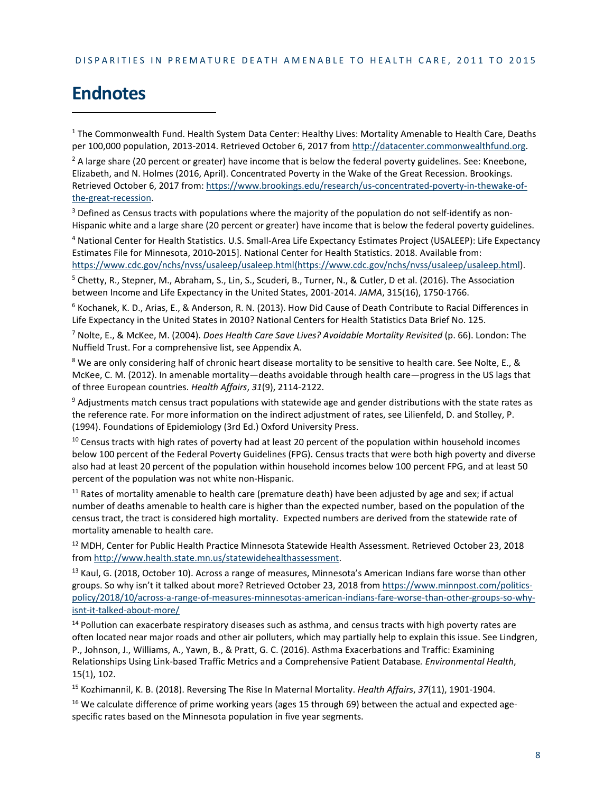### **Endnotes**

<sup>1</sup> The Commonwealth Fund. Health System Data Center: Healthy Lives: Mortality Amenable to Health Care, Deaths per 100,000 population, 2013-2014. Retrieved October 6, 2017 from [http://datacenter.commonwealthfund.org.](http://datacenter.commonwealthfund.org/)

 $2$  A large share (20 percent or greater) have income that is below the federal poverty guidelines. See: Kneebone, Elizabeth, and N. Holmes (2016, April). Concentrated Poverty in the Wake of the Great Recession. Brookings. Retrieved October 6, 2017 from: [https://www.brookings.edu/research/us-concentrated-poverty-in-thewake-of](https://www.brookings.edu/research/us-concentrated-poverty-in-thewake-of-the-great-recession)[the-great-recession.](https://www.brookings.edu/research/us-concentrated-poverty-in-thewake-of-the-great-recession) 

<sup>3</sup> Defined as Census tracts with populations where the majority of the population do not self-identify as non-Hispanic white and a large share (20 percent or greater) have income that is below the federal poverty guidelines.

<sup>4</sup> National Center for Health Statistics. U.S. Small-Area Life Expectancy Estimates Project (USALEEP): Life Expectancy Estimates File for Minnesota, 2010-2015]. National Center for Health Statistics. 2018. Available from: [https://www.cdc.gov/nchs/nvss/usaleep/usaleep.html\(https://www.cdc.gov/nchs/nvss/usaleep/usaleep.html\)](https://www.cdc.gov/nchs/nvss/usaleep/usaleep.html(https:/www.cdc.gov/nchs/nvss/usaleep/usaleep.html).

<sup>5</sup> Chetty, R., Stepner, M., Abraham, S., Lin, S., Scuderi, B., Turner, N., & Cutler, D et al. (2016). The Association between Income and Life Expectancy in the United States, 2001-2014. *JAMA*, 315(16), 1750-1766.

<sup>6</sup> Kochanek, K. D., Arias, E., & Anderson, R. N. (2013). How Did Cause of Death Contribute to Racial Differences in Life Expectancy in the United States in 2010? National Centers for Health Statistics Data Brief No. 125.

<sup>7</sup> Nolte, E., & McKee, M. (2004). *Does Health Care Save Lives? Avoidable Mortality Revisited* (p. 66). London: The Nuffield Trust. For a comprehensive list, see Appendix A.

<sup>8</sup> We are only considering half of chronic heart disease mortality to be sensitive to health care. See Nolte, E., & McKee, C. M. (2012). In amenable mortality—deaths avoidable through health care—progress in the US lags that of three European countries. *Health Affairs*, *31*(9), 2114-2122.

<sup>9</sup> Adjustments match census tract populations with statewide age and gender distributions with the state rates as the reference rate. For more information on the indirect adjustment of rates, see Lilienfeld, D. and Stolley, P. (1994). Foundations of Epidemiology (3rd Ed.) Oxford University Press.

<sup>10</sup> Census tracts with high rates of poverty had at least 20 percent of the population within household incomes below 100 percent of the Federal Poverty Guidelines (FPG). Census tracts that were both high poverty and diverse also had at least 20 percent of the population within household incomes below 100 percent FPG, and at least 50 percent of the population was not white non-Hispanic.

 $11$  Rates of mortality amenable to health care (premature death) have been adjusted by age and sex; if actual number of deaths amenable to health care is higher than the expected number, based on the population of the census tract, the tract is considered high mortality. Expected numbers are derived from the statewide rate of mortality amenable to health care.

<sup>12</sup> MDH, Center for Public Health Practice Minnesota Statewide Health Assessment. Retrieved October 23, 2018 from [http://www.health.state.mn.us/statewidehealthassessment.](http://www.health.state.mn.us/statewidehealthassessment)

<sup>13</sup> Kaul, G. (2018, October 10). Across a range of measures, Minnesota's American Indians fare worse than other groups. So why isn't it talked about more? Retrieved October 23, 2018 from [https://www.minnpost.com/politics](https://www.minnpost.com/politics-policy/2018/10/across-a-range-of-measures-minnesotas-american-indians-fare-worse-than-other-groups-so-why-isnt-it-talked-about-more/)[policy/2018/10/across-a-range-of-measures-minnesotas-american-indians-fare-worse-than-other-groups-so-why](https://www.minnpost.com/politics-policy/2018/10/across-a-range-of-measures-minnesotas-american-indians-fare-worse-than-other-groups-so-why-isnt-it-talked-about-more/)[isnt-it-talked-about-more/](https://www.minnpost.com/politics-policy/2018/10/across-a-range-of-measures-minnesotas-american-indians-fare-worse-than-other-groups-so-why-isnt-it-talked-about-more/)

<sup>14</sup> Pollution can exacerbate respiratory diseases such as asthma, and census tracts with high poverty rates are often located near major roads and other air polluters, which may partially help to explain this issue. See Lindgren, P., Johnson, J., Williams, A., Yawn, B., & Pratt, G. C. (2016). Asthma Exacerbations and Traffic: Examining Relationships Using Link-based Traffic Metrics and a Comprehensive Patient Database*. Environmental Health*, 15(1), 102.

<sup>15</sup> Kozhimannil, K. B. (2018). Reversing The Rise In Maternal Mortality. *Health Affairs*, *37*(11), 1901-1904.

<sup>16</sup> We calculate difference of prime working years (ages 15 through 69) between the actual and expected agespecific rates based on the Minnesota population in five year segments.